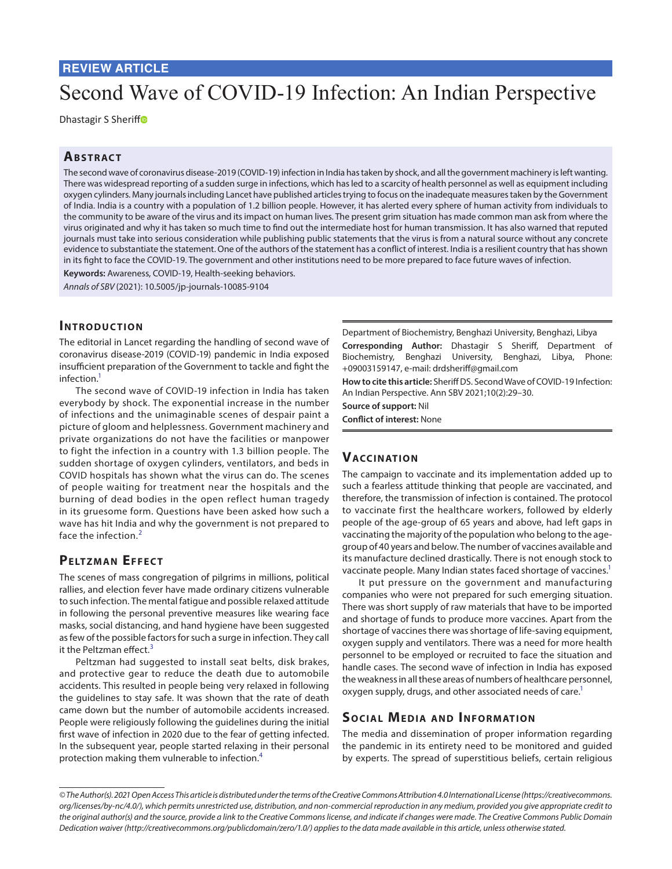# **REVIEW ARTICLE**

# Second Wave of COVID-19 Infection: An Indian Perspective

Dhastagir S Sheri[ff](https://orcid.org/0000-0002-8549-5211)<sup>®</sup>

### **ABSTRACT**

The second wave of coronavirus disease-2019 (COVID-19) infection in India has taken by shock, and all the government machinery is left wanting. There was widespread reporting of a sudden surge in infections, which has led to a scarcity of health personnel as well as equipment including oxygen cylinders. Many journals including Lancet have published articles trying to focus on the inadequate measures taken by the Government of India. India is a country with a population of 1.2 billion people. However, it has alerted every sphere of human activity from individuals to the community to be aware of the virus and its impact on human lives. The present grim situation has made common man ask from where the virus originated and why it has taken so much time to find out the intermediate host for human transmission. It has also warned that reputed journals must take into serious consideration while publishing public statements that the virus is from a natural source without any concrete evidence to substantiate the statement. One of the authors of the statement has a conflict of interest. India is a resilient country that has shown in its fight to face the COVID-19. The government and other institutions need to be more prepared to face future waves of infection.

**Keywords:** Awareness, COVID-19, Health-seeking behaviors.

*Annals of SBV* (2021): 10.5005/jp-journals-10085-9104

#### **INTRODUCTION**

The editorial in Lancet regarding the handling of second wave of coronavirus disease-2019 (COVID-19) pandemic in India exposed insufficient preparation of the Government to tackle and fight the infection[.1](#page-1-0)

The second wave of COVID-19 infection in India has taken everybody by shock. The exponential increase in the number of infections and the unimaginable scenes of despair paint a picture of gloom and helplessness. Government machinery and private organizations do not have the facilities or manpower to fight the infection in a country with 1.3 billion people. The sudden shortage of oxygen cylinders, ventilators, and beds in COVID hospitals has shown what the virus can do. The scenes of people waiting for treatment near the hospitals and the burning of dead bodies in the open reflect human tragedy in its gruesome form. Questions have been asked how such a wave has hit India and why the government is not prepared to face the infection.<sup>[2](#page-1-1)</sup>

## **PELTZMAN EFFECT**

The scenes of mass congregation of pilgrims in millions, political rallies, and election fever have made ordinary citizens vulnerable to such infection. The mental fatigue and possible relaxed attitude in following the personal preventive measures like wearing face masks, social distancing, and hand hygiene have been suggested as few of the possible factors for such a surge in infection. They call it the Peltzman effect.<sup>[3](#page-1-2)</sup>

Peltzman had suggested to install seat belts, disk brakes, and protective gear to reduce the death due to automobile accidents. This resulted in people being very relaxed in following the guidelines to stay safe. It was shown that the rate of death came down but the number of automobile accidents increased. People were religiously following the guidelines during the initial first wave of infection in 2020 due to the fear of getting infected. In the subsequent year, people started relaxing in their personal protection making them vulnerable to infection.[4](#page-1-3)

Department of Biochemistry, Benghazi University, Benghazi, Libya **Corresponding Author:** Dhastagir S Sheriff, Department of Biochemistry, Benghazi University, Benghazi, Libya, Phone: +09003159147, e-mail: drdsheriff@gmail.com

**How to cite this article:** Sheriff DS. Second Wave of COVID-19 Infection: An Indian Perspective. Ann SBV 2021;10(2):29–30.

**Source of support:** Nil

**Conflict of interest:** None

#### **Vaccinatio n**

The campaign to vaccinate and its implementation added up to such a fearless attitude thinking that people are vaccinated, and therefore, the transmission of infection is contained. The protocol to vaccinate first the healthcare workers, followed by elderly people of the age-group of 65 years and above, had left gaps in vaccinating the majority of the population who belong to the agegroup of 40 years and below. The number of vaccines available and its manufacture declined drastically. There is not enough stock to vaccinate people. Many Indian states faced shortage of vaccines.<sup>1</sup>

It put pressure on the government and manufacturing companies who were not prepared for such emerging situation. There was short supply of raw materials that have to be imported and shortage of funds to produce more vaccines. Apart from the shortage of vaccines there was shortage of life-saving equipment, oxygen supply and ventilators. There was a need for more health personnel to be employed or recruited to face the situation and handle cases. The second wave of infection in India has exposed the weakness in all these areas of numbers of healthcare personnel, oxygen supply, drugs, and other associated needs of care.<sup>1</sup>

## **SOCIAL MEDIA AND INFORMATION**

The media and dissemination of proper information regarding the pandemic in its entirety need to be monitored and guided by experts. The spread of superstitious beliefs, certain religious

*<sup>©</sup> The Author(s). 2021 Open Access This article is distributed under the terms of the Creative Commons Attribution 4.0 International License ([https://creativecommons.](https://creativecommons. org/licenses/by-nc/4.0/)  [org/licenses/by-nc/4.0/](https://creativecommons. org/licenses/by-nc/4.0/)), which permits unrestricted use, distribution, and non-commercial reproduction in any medium, provided you give appropriate credit to the original author(s) and the source, provide a link to the Creative Commons license, and indicate if changes were made. The Creative Commons Public Domain Dedication waiver ([http://creativecommons.org/publicdomain/zero/1.0/\)](http://creativecommons.org/publicdomain/zero/1.0/) applies to the data made available in this article, unless otherwise stated.*